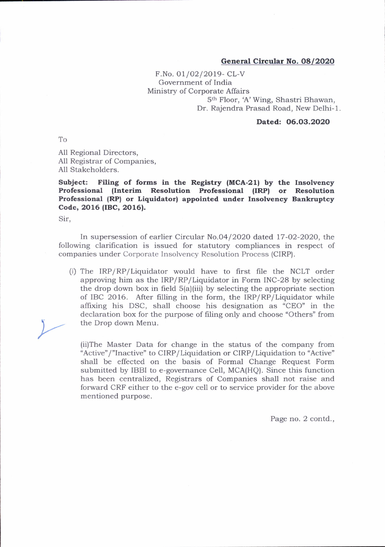## General Circular No. O8/2O2O

F.No. 01/02/2019- CL-V Government of India Ministry of Corporate Affairs 5<sup>th</sup> Floor, 'A' Wing, Shastri Bhawan, Dr. Rajendra Prasad Road, New Delhi-1.

## Dated: 06.O3.2O2O

To

All Regional Directors, All Registrar of Companies, All Stakeholders.

Subject: Filing of forms in the Registry (MCA-21) by the Insolvency Professional (Interim Resolution Professional (IRP) or Resolution Professional (RP) or Liquidator) appointed under Insolvency Bankruptcy Code, 2016 (IBC, 2016).

Sir,

ln supersession of earlier Circular No.O4 /2O2O dated, 17-O2-2020, the following clarification is issued for statutory compliances in respect of companies under Corporate Insolvency Resolution Process (CIRP).

(i) The IRP/RP/Liquidator would have to first file the NCLT order approving him as the  $IRP/RP/Li$ quidator in Form INC-28 by selecting the drop down box in freld S(a)(iii) by selecting the appropriate section of IBC 2016. After filling in the form, the IRP/RP/Liquidator while affixing his DSC, shall choose his designation as "CEO' in the declaration box for the purpose of filing only and choose "Others" from the Drop down Menu.

(ii)The Master Data for change in the status of the company from "Active"/ "lnactive" to CIRP/ Liquidation or CIRP/Liquidation to "Active" shall be effected on the basis of Formal Change Request Form submitted by IBBI to e-governance Cell, MCA(HQ). Since this function has been centralized, Registrars of Companies shall not raise and forward CRF either to the e-gov cell or to service provider for the above mentioned purpose.

Page no. 2 contd.,